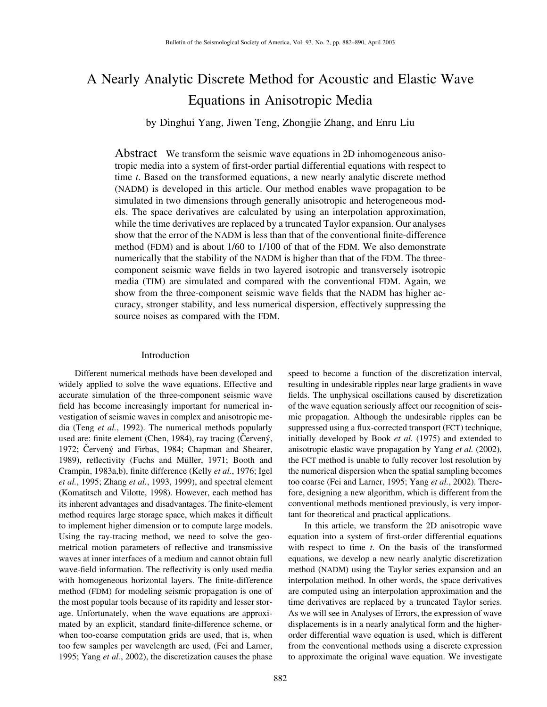# A Nearly Analytic Discrete Method for Acoustic and Elastic Wave Equations in Anisotropic Media

by Dinghui Yang, Jiwen Teng, Zhongjie Zhang, and Enru Liu

Abstract We transform the seismic wave equations in 2D inhomogeneous anisotropic media into a system of first-order partial differential equations with respect to time *t*. Based on the transformed equations, a new nearly analytic discrete method (NADM) is developed in this article. Our method enables wave propagation to be simulated in two dimensions through generally anisotropic and heterogeneous models. The space derivatives are calculated by using an interpolation approximation, while the time derivatives are replaced by a truncated Taylor expansion. Our analyses show that the error of the NADM is less than that of the conventional finite-difference method (FDM) and is about 1/60 to 1/100 of that of the FDM. We also demonstrate numerically that the stability of the NADM is higher than that of the FDM. The threecomponent seismic wave fields in two layered isotropic and transversely isotropic media (TIM) are simulated and compared with the conventional FDM. Again, we show from the three-component seismic wave fields that the NADM has higher accuracy, stronger stability, and less numerical dispersion, effectively suppressing the source noises as compared with the FDM.

## Introduction

Different numerical methods have been developed and widely applied to solve the wave equations. Effective and accurate simulation of the three-component seismic wave field has become increasingly important for numerical investigation of seismic waves in complex and anisotropic media (Teng *et al.*, 1992). The numerical methods popularly used are: finite element (Chen, 1984), ray tracing (Cerveny, 1972; Cervený and Firbas, 1984; Chapman and Shearer, 1989), reflectivity (Fuchs and Müller, 1971; Booth and Crampin, 1983a,b), finite difference (Kelly *et al.*, 1976; Igel *et al.*, 1995; Zhang *et al.*, 1993, 1999), and spectral element (Komatitsch and Vilotte, 1998). However, each method has its inherent advantages and disadvantages. The finite-element method requires large storage space, which makes it difficult to implement higher dimension or to compute large models. Using the ray-tracing method, we need to solve the geometrical motion parameters of reflective and transmissive waves at inner interfaces of a medium and cannot obtain full wave-field information. The reflectivity is only used media with homogeneous horizontal layers. The finite-difference method (FDM) for modeling seismic propagation is one of the most popular tools because of its rapidity and lesser storage. Unfortunately, when the wave equations are approximated by an explicit, standard finite-difference scheme, or when too-coarse computation grids are used, that is, when too few samples per wavelength are used, (Fei and Larner, 1995; Yang *et al.*, 2002), the discretization causes the phase speed to become a function of the discretization interval, resulting in undesirable ripples near large gradients in wave fields. The unphysical oscillations caused by discretization of the wave equation seriously affect our recognition of seismic propagation. Although the undesirable ripples can be suppressed using a flux-corrected transport (FCT) technique, initially developed by Book *et al.* (1975) and extended to anisotropic elastic wave propagation by Yang *et al.* (2002), the FCT method is unable to fully recover lost resolution by the numerical dispersion when the spatial sampling becomes too coarse (Fei and Larner, 1995; Yang *et al.*, 2002). Therefore, designing a new algorithm, which is different from the conventional methods mentioned previously, is very important for theoretical and practical applications.

In this article, we transform the 2D anisotropic wave equation into a system of first-order differential equations with respect to time *t*. On the basis of the transformed equations, we develop a new nearly analytic discretization method (NADM) using the Taylor series expansion and an interpolation method. In other words, the space derivatives are computed using an interpolation approximation and the time derivatives are replaced by a truncated Taylor series. As we will see in Analyses of Errors, the expression of wave displacements is in a nearly analytical form and the higherorder differential wave equation is used, which is different from the conventional methods using a discrete expression to approximate the original wave equation. We investigate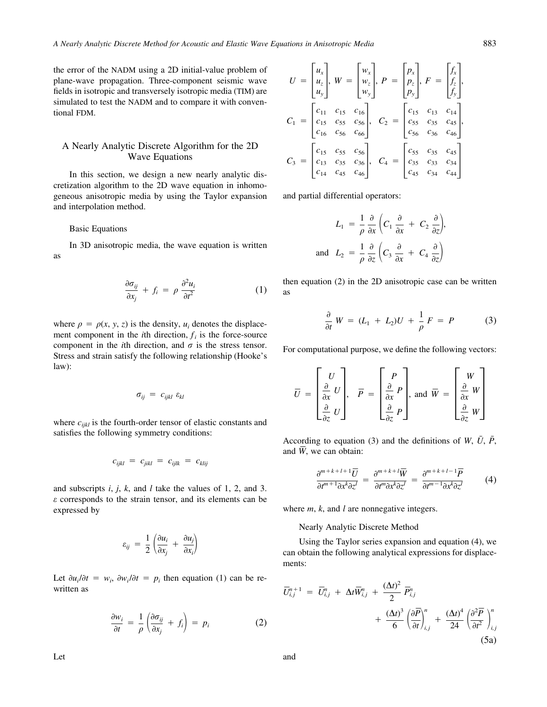the error of the NADM using a 2D initial-value problem of plane-wave propagation. Three-component seismic wave fields in isotropic and transversely isotropic media (TIM) are simulated to test the NADM and to compare it with conventional FDM.

## A Nearly Analytic Discrete Algorithm for the 2D Wave Equations

In this section, we design a new nearly analytic discretization algorithm to the 2D wave equation in inhomogeneous anisotropic media by using the Taylor expansion and interpolation method.

Basic Equations

In 3D anisotropic media, the wave equation is written as

$$
\frac{\partial \sigma_{ij}}{\partial x_j} + f_i = \rho \frac{\partial^2 u_i}{\partial t^2}
$$
 (1)

where  $\rho = \rho(x, y, z)$  is the density,  $u_i$  denotes the displacement component in the *i*th direction,  $f_i$  is the force-source component in the *i*th direction, and  $\sigma$  is the stress tensor. Stress and strain satisfy the following relationship (Hooke's law):

$$
\sigma_{ij} = c_{ijkl} \varepsilon_{kl}
$$

where  $c_{ijkl}$  is the fourth-order tensor of elastic constants and satisfies the following symmetry conditions:

$$
c_{ijkl} = c_{jikl} = c_{ijlk} = c_{klij}
$$

and subscripts *i*, *j*, *k*, and *l* take the values of 1, 2, and 3. *e* corresponds to the strain tensor, and its elements can be expressed by

$$
\varepsilon_{ij} = \frac{1}{2} \left( \frac{\partial u_i}{\partial x_j} + \frac{\partial u_j}{\partial x_i} \right)
$$

Let  $\partial u_i / \partial t = w_i$ ,  $\partial w_i / \partial t = p_i$  then equation (1) can be rewritten as

$$
\frac{\partial w_i}{\partial t} = \frac{1}{\rho} \left( \frac{\partial \sigma_{ij}}{\partial x_j} + f_i \right) = p_i \tag{2}
$$

$$
U = \begin{bmatrix} u_x \\ u_z \\ u_y \end{bmatrix}, W = \begin{bmatrix} w_x \\ w_z \\ w_y \end{bmatrix}, P = \begin{bmatrix} p_x \\ p_z \\ p_y \end{bmatrix}, F = \begin{bmatrix} f_x \\ f_z \\ f_y \end{bmatrix},
$$
  

$$
C_1 = \begin{bmatrix} c_{11} & c_{15} & c_{16} \\ c_{15} & c_{55} & c_{56} \\ c_{16} & c_{56} & c_{66} \end{bmatrix}, C_2 = \begin{bmatrix} c_{15} & c_{13} & c_{14} \\ c_{55} & c_{35} & c_{45} \\ c_{56} & c_{36} & c_{46} \end{bmatrix},
$$
  

$$
C_3 = \begin{bmatrix} c_{15} & c_{55} & c_{56} \\ c_{13} & c_{35} & c_{36} \\ c_{14} & c_{45} & c_{46} \end{bmatrix}, C_4 = \begin{bmatrix} c_{55} & c_{35} & c_{45} \\ c_{35} & c_{33} & c_{34} \\ c_{45} & c_{34} & c_{44} \end{bmatrix}
$$

and partial differential operators:

$$
L_1 = \frac{1}{\rho} \frac{\partial}{\partial x} \left( C_1 \frac{\partial}{\partial x} + C_2 \frac{\partial}{\partial z} \right),
$$
  
and 
$$
L_2 = \frac{1}{\rho} \frac{\partial}{\partial z} \left( C_3 \frac{\partial}{\partial x} + C_4 \frac{\partial}{\partial z} \right)
$$

then equation (2) in the 2D anisotropic case can be written as

$$
\frac{\partial}{\partial t} W = (L_1 + L_2)U + \frac{1}{\rho} F = P \tag{3}
$$

For computational purpose, we define the following vectors:

$$
\overline{U} = \begin{bmatrix} U \\ \frac{\partial}{\partial x} U \\ \frac{\partial}{\partial z} U \end{bmatrix}, \quad \overline{P} = \begin{bmatrix} P \\ \frac{\partial}{\partial x} P \\ \frac{\partial}{\partial z} P \end{bmatrix}, \text{ and } \overline{W} = \begin{bmatrix} W \\ \frac{\partial}{\partial x} W \\ \frac{\partial}{\partial z} W \end{bmatrix}
$$

According to equation (3) and the definitions of *W*,  $\bar{U}$ ,  $\bar{P}$ , and  $\overline{W}$ , we can obtain:

$$
\frac{\partial^{m+k+l+1}\overline{U}}{\partial t^{m+1}\partial x^k \partial z^l} = \frac{\partial^{m+k+l}\overline{W}}{\partial t^m \partial x^k \partial z^l} = \frac{\partial^{m+k+l-1}\overline{P}}{\partial t^{m-1}\partial x^k \partial z^l} \tag{4}
$$

where *m*, *k*, and *l* are nonnegative integers.

#### Nearly Analytic Discrete Method

Using the Taylor series expansion and equation (4), we can obtain the following analytical expressions for displacements:

$$
\overline{U}_{i,j}^{n+1} = \overline{U}_{i,j}^{n} + \Delta t \overline{W}_{i,j}^{n} + \frac{(\Delta t)^{2}}{2} \overline{P}_{i,j}^{n} + \frac{(\Delta t)^{3}}{6} \left(\frac{\partial \overline{P}}{\partial t}\right)_{i,j}^{n} + \frac{(\Delta t)^{4}}{24} \left(\frac{\partial^{2} \overline{P}}{\partial t^{2}}\right)_{i,j}^{n}
$$
\n(5a)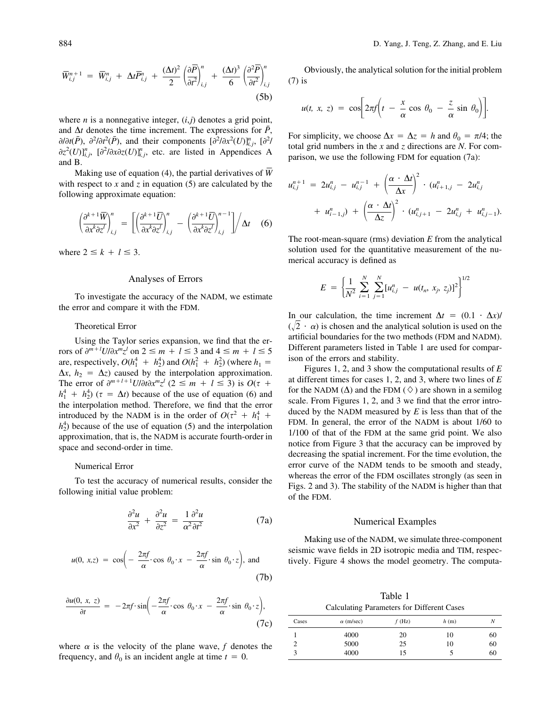$$
\overline{W}_{i,j}^{n+1} = \overline{W}_{i,j}^{n} + \Delta t \overline{P}_{i,j}^{n} + \frac{(\Delta t)^{2}}{2} \left( \frac{\partial \overline{P}}{\partial t^{2}} \right)_{i,j}^{n} + \frac{(\Delta t)^{3}}{6} \left( \frac{\partial^{2} \overline{P}}{\partial t^{2}} \right)_{i,j}^{n}
$$
\n(5b)

where *n* is a nonnegative integer,  $(i, j)$  denotes a grid point, and  $\Delta t$  denotes the time increment. The expressions for  $\bar{P}$ ,  $\partial/\partial t(\bar{P})$ ,  $\partial^2/\partial t^2(\bar{P})$ , and their components  $[\partial^2/\partial x^2(U)]_{i,j}^n$ ,  $[\partial^2/\partial x^2(U)]_{i,j}^n$  $\partial z^2(U)$ ]<sup>n</sup><sub>*i,j'*</sub> [ $\partial^2/\partial x \partial z(U)$ ]<sup>n</sup><sub>*i,j'*</sub>, etc. are listed in Appendices A and B.

Making use of equation (4), the partial derivatives of *W¢* with respect to  $x$  and  $z$  in equation (5) are calculated by the following approximate equation:

$$
\left(\frac{\partial^{k+1}\overline{W}}{\partial x^k \partial z^l}\right)_{i,j}^n = \left[\left(\frac{\partial^{k+1}\overline{U}}{\partial x^k \partial z^l}\right)_{i,j}^n - \left(\frac{\partial^{k+1}\overline{U}}{\partial x^k \partial z^l}\right)_{i,j}^{n-1}\right] \middle/ \Delta t \quad (6)
$$

where  $2 \leq k + l \leq 3$ .

## Analyses of Errors

To investigate the accuracy of the NADM, we estimate the error and compare it with the FDM.

## Theoretical Error

Using the Taylor series expansion, we find that the errors of  $\partial^{m+l}U/\partial x^m z^l$  on  $2 \le m + l \le 3$  and  $4 \le m + l \le 5$ are, respectively,  $O(h_1^4 + h_2^4)$  and  $O(h_1^2 + h_2^2)$  (where  $h_1 =$  $\Delta x$ ,  $h_2 = \Delta z$ ) caused by the interpolation approximation. The error of  $\partial^{m+l+1}U/\partial t \partial x^m z^l$  ( $2 \leq m + l \leq 3$ ) is  $O(\tau +$  $h_1^4 + h_2^4$  ( $\tau = \Delta t$ ) because of the use of equation (6) and the interpolation method. Therefore, we find that the error introduced by the NADM is in the order of  $O(\tau^2 + h_1^4 +$  $h_2^4$  because of the use of equation (5) and the interpolation approximation, that is, the NADM is accurate fourth-order in space and second-order in time.

## Numerical Error

To test the accuracy of numerical results, consider the following initial value problem:

$$
\frac{\partial^2 u}{\partial x^2} + \frac{\partial^2 u}{\partial z^2} = \frac{1}{\alpha^2} \frac{\partial^2 u}{\partial t^2}
$$
 (7a)

$$
u(0, x, z) = \cos\left(-\frac{2\pi f}{\alpha} \cdot \cos \theta_0 \cdot x - \frac{2\pi f}{\alpha} \cdot \sin \theta_0 \cdot z\right), \text{ and}
$$
\n(7b)

$$
\frac{\partial u(0, x, z)}{\partial t} = -2\pi f \cdot \sin\left(-\frac{2\pi f}{\alpha} \cdot \cos \theta_0 \cdot x - \frac{2\pi f}{\alpha} \cdot \sin \theta_0 \cdot z\right),\tag{7c}
$$

where  $\alpha$  is the velocity of the plane wave,  $f$  denotes the frequency, and  $\theta_0$  is an incident angle at time  $t = 0$ .

Obviously, the analytical solution for the initial problem (7) is

$$
u(t, x, z) = \cos \left[ 2\pi f \left( t - \frac{x}{\alpha} \cos \theta_0 - \frac{z}{\alpha} \sin \theta_0 \right) \right].
$$

For simplicity, we choose  $\Delta x = \Delta z = h$  and  $\theta_0 = \pi/4$ ; the total grid numbers in the *x* and *z* directions are *N*. For comparison, we use the following FDM for equation (7a):

$$
u_{i,j}^{n+1} = 2u_{i,j}^{n} - u_{i,j}^{n-1} + \left(\frac{\alpha \cdot \Delta t}{\Delta x}\right)^{2} \cdot (u_{i+1,j}^{n} - 2u_{i,j}^{n}) + u_{i-1,j}^{n}) + \left(\frac{\alpha \cdot \Delta t}{\Delta z}\right)^{2} \cdot (u_{i,j+1}^{n} - 2u_{i,j}^{n} + u_{i,j-1}^{n}).
$$

The root-mean-square (rms) deviation *E* from the analytical solution used for the quantitative measurement of the numerical accuracy is defined as

$$
E = \left\{ \frac{1}{N^2} \sum_{i=1}^{N} \sum_{j=1}^{N} [u_{i,j}^n - u(t_n, x_j, z_j)]^2 \right\}^{1/2}
$$

In our calculation, the time increment  $\Delta t = (0.1 \cdot \Delta x)$ /  $(\sqrt{2} \cdot \alpha)$  is chosen and the analytical solution is used on the artificial boundaries for the two methods (FDM and NADM). Different parameters listed in Table 1 are used for comparison of the errors and stability.

Figures 1, 2, and 3 show the computational results of *E* at different times for cases 1, 2, and 3, where two lines of *E* for the NADM  $(\Delta)$  and the FDM  $(\Diamond)$  are shown in a semilog scale. From Figures 1, 2, and 3 we find that the error introduced by the NADM measured by *E* is less than that of the FDM. In general, the error of the NADM is about 1/60 to 1/100 of that of the FDM at the same grid point. We also notice from Figure 3 that the accuracy can be improved by decreasing the spatial increment. For the time evolution, the error curve of the NADM tends to be smooth and steady, whereas the error of the FDM oscillates strongly (as seen in Figs. 2 and 3). The stability of the NADM is higher than that of the FDM.

#### Numerical Examples

Making use of the NADM, we simulate three-component seismic wave fields in 2D isotropic media and TIM, respectively. Figure 4 shows the model geometry. The computa-

Table 1 Calculating Parameters for Different Cases

| -                |          |      |    |
|------------------|----------|------|----|
| $\alpha$ (m/sec) | $f$ (Hz) | h(m) |    |
| 4000             | 20       | 10   | 60 |
| 5000             | 25       | 10   | 60 |
| 4000             | 15       |      | 60 |
|                  |          |      |    |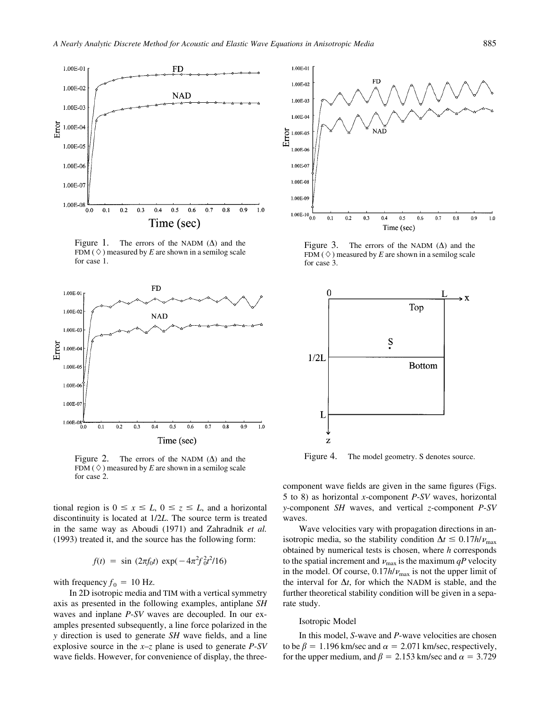

Figure 1. The errors of the NADM  $(\Delta)$  and the FDM ( $\Diamond$ ) measured by *E* are shown in a semilog scale for case 1.



Figure 2. The errors of the NADM  $(\Delta)$  and the FDM ( $\Diamond$ ) measured by *E* are shown in a semilog scale for case 2.

tional region is  $0 \le x \le L$ ,  $0 \le z \le L$ , and a horizontal discontinuity is located at 1/2*L*. The source term is treated in the same way as Aboudi (1971) and Zahradnik *et al.* (1993) treated it, and the source has the following form:

$$
f(t) = \sin (2\pi f_0 t) \exp(-4\pi^2 f_0^2 t^2 / 16)
$$

with frequency  $f_0 = 10$  Hz.

In 2D isotropic media and TIM with a vertical symmetry axis as presented in the following examples, antiplane *SH* waves and inplane *P*-*SV* waves are decoupled. In our examples presented subsequently, a line force polarized in the *y* direction is used to generate *SH* wave fields, and a line explosive source in the *x*–*z* plane is used to generate *P*-*SV* wave fields. However, for convenience of display, the three-



Figure 3. The errors of the NADM  $(\Delta)$  and the FDM ( $\Diamond$ ) measured by *E* are shown in a semilog scale for case 3.



Figure 4. The model geometry. S denotes source.

component wave fields are given in the same figures (Figs. 5 to 8) as horizontal *x*-component *P*-*SV* waves, horizontal *y*-component *SH* waves, and vertical *z*-component *P*-*SV* waves.

Wave velocities vary with propagation directions in anisotropic media, so the stability condition  $\Delta t \leq 0.17h/\nu_{\text{max}}$ obtained by numerical tests is chosen, where *h* corresponds to the spatial increment and  $v_{\text{max}}$  is the maximum  $qP$  velocity in the model. Of course,  $0.17h/\nu_{\text{max}}$  is not the upper limit of the interval for  $\Delta t$ , for which the NADM is stable, and the further theoretical stability condition will be given in a separate study.

#### Isotropic Model

In this model, *S*-wave and *P*-wave velocities are chosen to be  $\beta = 1.196$  km/sec and  $\alpha = 2.071$  km/sec, respectively, for the upper medium, and  $\beta = 2.153$  km/sec and  $\alpha = 3.729$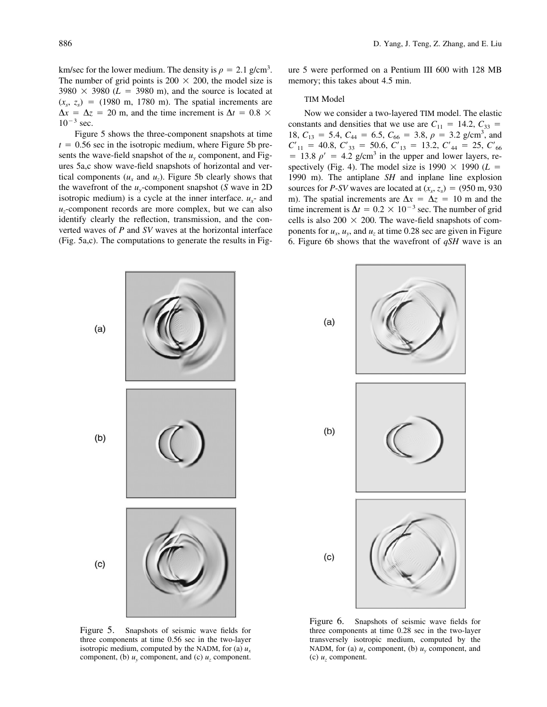km/sec for the lower medium. The density is  $\rho = 2.1$  g/cm<sup>3</sup>. The number of grid points is 200  $\times$  200, the model size is  $3980 \times 3980$  ( $L = 3980$  m), and the source is located at  $(x<sub>s</sub>, z<sub>s</sub>) = (1980 \text{ m}, 1780 \text{ m})$ . The spatial increments are  $\Delta x = \Delta z = 20$  m, and the time increment is  $\Delta t = 0.8 \times$  $10^{-3}$  sec.

Figure 5 shows the three-component snapshots at time  $t = 0.56$  sec in the isotropic medium, where Figure 5b presents the wave-field snapshot of the  $u<sub>v</sub>$  component, and Figures 5a,c show wave-field snapshots of horizontal and vertical components  $(u_x$  and  $u_z$ ). Figure 5b clearly shows that the wavefront of the  $u_y$ -component snapshot (*S* wave in 2D isotropic medium) is a cycle at the inner interface.  $u_x$ - and *uz*-component records are more complex, but we can also identify clearly the reflection, transmission, and the converted waves of *P* and *SV* waves at the horizontal interface (Fig. 5a,c). The computations to generate the results in Figure 5 were performed on a Pentium III 600 with 128 MB memory; this takes about 4.5 min.

## TIM Model

Now we consider a two-layered TIM model. The elastic constants and densities that we use are  $C_{11} = 14.2, C_{33} =$ 18,  $C_{13} = 5.4$ ,  $C_{44} = 6.5$ ,  $C_{66} = 3.8$ ,  $\rho = 3.2$  g/cm<sup>3</sup>, and  $C'_{11}$  = 40.8,  $C'_{33}$  = 50.6,  $C'_{13}$  = 13.2,  $C'_{44}$  = 25,  $C'_{66}$  $= 13.8 \rho' = 4.2$  g/cm<sup>3</sup> in the upper and lower layers, respectively (Fig. 4). The model size is  $1990 \times 1990$  ( $L =$ 1990 m). The antiplane *SH* and inplane line explosion sources for *P*-*SV* waves are located at  $(x_s, z_s) = (950 \text{ m}, 930 \text{ m})$ m). The spatial increments are  $\Delta x = \Delta z = 10$  m and the time increment is  $\Delta t = 0.2 \times 10^{-3}$  sec. The number of grid cells is also 200  $\times$  200. The wave-field snapshots of components for  $u_x$ ,  $u_y$ , and  $u_z$  at time 0.28 sec are given in Figure 6. Figure 6b shows that the wavefront of *qSH* wave is an



Figure 5. Snapshots of seismic wave fields for three components at time 0.56 sec in the two-layer isotropic medium, computed by the NADM, for (a)  $u_x$ component, (b)  $u_y$  component, and (c)  $u_z$  component.



Figure 6. Snapshots of seismic wave fields for three components at time 0.28 sec in the two-layer transversely isotropic medium, computed by the NADM, for (a)  $u_x$  component, (b)  $u_y$  component, and (c)  $u_z$  component.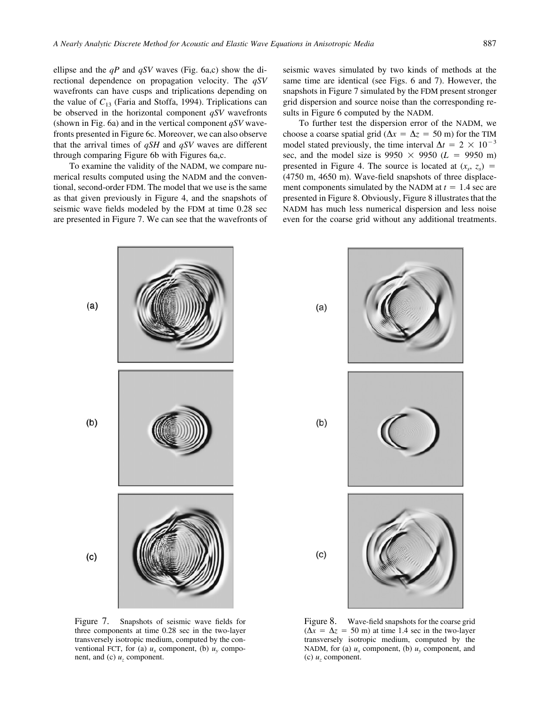ellipse and the *qP* and *qSV* waves (Fig. 6a,c) show the directional dependence on propagation velocity. The *qSV* wavefronts can have cusps and triplications depending on the value of  $C_{13}$  (Faria and Stoffa, 1994). Triplications can be observed in the horizontal component *qSV* wavefronts (shown in Fig. 6a) and in the vertical component *qSV* wavefronts presented in Figure 6c. Moreover, we can also observe that the arrival times of *qSH* and *qSV* waves are different through comparing Figure 6b with Figures 6a,c.

To examine the validity of the NADM, we compare numerical results computed using the NADM and the conventional, second-order FDM. The model that we use is the same as that given previously in Figure 4, and the snapshots of seismic wave fields modeled by the FDM at time 0.28 sec are presented in Figure 7. We can see that the wavefronts of seismic waves simulated by two kinds of methods at the same time are identical (see Figs. 6 and 7). However, the snapshots in Figure 7 simulated by the FDM present stronger grid dispersion and source noise than the corresponding results in Figure 6 computed by the NADM.

To further test the dispersion error of the NADM, we choose a coarse spatial grid ( $\Delta x = \Delta z = 50$  m) for the TIM model stated previously, the time interval  $\Delta t = 2 \times 10^{-3}$ sec, and the model size is  $9950 \times 9950$  (*L* = 9950 m) presented in Figure 4. The source is located at  $(x_s, z_s)$  = (4750 m, 4650 m). Wave-field snapshots of three displacement components simulated by the NADM at  $t = 1.4$  sec are presented in Figure 8. Obviously, Figure 8 illustrates that the NADM has much less numerical dispersion and less noise even for the coarse grid without any additional treatments.



Figure 7. Snapshots of seismic wave fields for three components at time 0.28 sec in the two-layer transversely isotropic medium, computed by the conventional FCT, for (a)  $u_x$  component, (b)  $u_y$  component, and (c)  $u_z$  component.



Figure 8. Wave-field snapshots for the coarse grid  $(\Delta x = \Delta z = 50 \text{ m})$  at time 1.4 sec in the two-layer transversely isotropic medium, computed by the NADM, for (a)  $u_x$  component, (b)  $u_y$  component, and (c)  $u_z$  component.

 $(c)$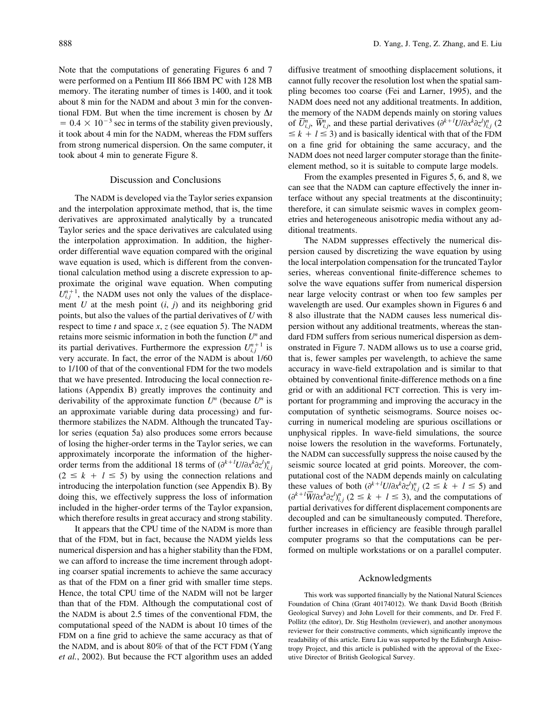Note that the computations of generating Figures 6 and 7 were performed on a Pentium III 866 IBM PC with 128 MB memory. The iterating number of times is 1400, and it took about 8 min for the NADM and about 3 min for the conventional FDM. But when the time increment is chosen by  $\Delta t$  $= 0.4 \times 10^{-3}$  sec in terms of the stability given previously, it took about 4 min for the NADM, whereas the FDM suffers from strong numerical dispersion. On the same computer, it took about 4 min to generate Figure 8.

#### Discussion and Conclusions

The NADM is developed via the Taylor series expansion and the interpolation approximate method, that is, the time derivatives are approximated analytically by a truncated Taylor series and the space derivatives are calculated using the interpolation approximation. In addition, the higherorder differential wave equation compared with the original wave equation is used, which is different from the conventional calculation method using a discrete expression to approximate the original wave equation. When computing  $U_{i,j}^{n+1}$ , the NADM uses not only the values of the displacement *U* at the mesh point (*i*, *j*) and its neighboring grid points, but also the values of the partial derivatives of *U* with respect to time *t* and space *x*, *z* (see equation 5). The NADM retains more seismic information in both the function *U<sup>n</sup>* and its partial derivatives. Furthermore the expression  $U_{i,j}^{n+1}$  is very accurate. In fact, the error of the NADM is about 1/60 to 1/100 of that of the conventional FDM for the two models that we have presented. Introducing the local connection relations (Appendix B) greatly improves the continuity and derivability of the approximate function  $U^n$  (because  $U^n$  is an approximate variable during data processing) and furthermore stabilizes the NADM. Although the truncated Taylor series (equation 5a) also produces some errors because of losing the higher-order terms in the Taylor series, we can approximately incorporate the information of the higherorder terms from the additional 18 terms of  $(\partial^{k+l} U/\partial x^{k} \partial z^{l})_{i}^{n}$  $(2 \leq k + l \leq 5)$  by using the connection relations and introducing the interpolation function (see Appendix B). By doing this, we effectively suppress the loss of information included in the higher-order terms of the Taylor expansion, which therefore results in great accuracy and strong stability.

It appears that the CPU time of the NADM is more than that of the FDM, but in fact, because the NADM yields less numerical dispersion and has a higher stability than the FDM, we can afford to increase the time increment through adopting coarser spatial increments to achieve the same accuracy as that of the FDM on a finer grid with smaller time steps. Hence, the total CPU time of the NADM will not be larger than that of the FDM. Although the computational cost of the NADM is about 2.5 times of the conventional FDM, the computational speed of the NADM is about 10 times of the FDM on a fine grid to achieve the same accuracy as that of the NADM, and is about 80% of that of the FCT FDM (Yang *et al.*, 2002). But because the FCT algorithm uses an added

diffusive treatment of smoothing displacement solutions, it cannot fully recover the resolution lost when the spatial sampling becomes too coarse (Fei and Larner, 1995), and the NADM does need not any additional treatments. In addition, the memory of the NADM depends mainly on storing values of  $\overline{U}_{i}^{n}$ ,  $\overline{W}_{i}^{n}$ , and these partial derivatives  $(\partial^{k+l}U/\partial x^{k}\partial z^{l})_{i,j}^{n}$  (2  $\leq k + l \leq 3$ ) and is basically identical with that of the FDM on a fine grid for obtaining the same accuracy, and the NADM does not need larger computer storage than the finiteelement method, so it is suitable to compute large models.

From the examples presented in Figures 5, 6, and 8, we can see that the NADM can capture effectively the inner interface without any special treatments at the discontinuity; therefore, it can simulate seismic waves in complex geometries and heterogeneous anisotropic media without any additional treatments.

The NADM suppresses effectively the numerical dispersion caused by discretizing the wave equation by using the local interpolation compensation for the truncated Taylor series, whereas conventional finite-difference schemes to solve the wave equations suffer from numerical dispersion near large velocity contrast or when too few samples per wavelength are used. Our examples shown in Figures 6 and 8 also illustrate that the NADM causes less numerical dispersion without any additional treatments, whereas the standard FDM suffers from serious numerical dispersion as demonstrated in Figure 7. NADM allows us to use a coarse grid, that is, fewer samples per wavelength, to achieve the same accuracy in wave-field extrapolation and is similar to that obtained by conventional finite-difference methods on a fine grid or with an additional FCT correction. This is very important for programming and improving the accuracy in the computation of synthetic seismograms. Source noises occurring in numerical modeling are spurious oscillations or unphysical ripples. In wave-field simulations, the source noise lowers the resolution in the waveforms. Fortunately, the NADM can successfully suppress the noise caused by the seismic source located at grid points. Moreover, the computational cost of the NADM depends mainly on calculating these values of both  $(\partial^{k+l} U/\partial x^k \partial z')_{i,j}^n$  ( $2 \le k + l \le 5$ ) and  $(\partial^{k+l} \overline{W}/\partial x^{k} \partial z^{l})_{i,j}^{n}$  (2  $\leq k+l \leq 3$ ), and the computations of partial derivatives for different displacement components are decoupled and can be simultaneously computed. Therefore, further increases in efficiency are feasible through parallel computer programs so that the computations can be performed on multiple workstations or on a parallel computer.

#### Acknowledgments

This work was supported financially by the National Natural Sciences Foundation of China (Grant 40174012). We thank David Booth (British Geological Survey) and John Lovell for their comments, and Dr. Fred F. Pollitz (the editor), Dr. Stig Hestholm (reviewer), and another anonymous reviewer for their constructive comments, which significantly improve the readability of this article. Enru Liu was supported by the Edinburgh Anisotropy Project, and this article is published with the approval of the Executive Director of British Geological Survey.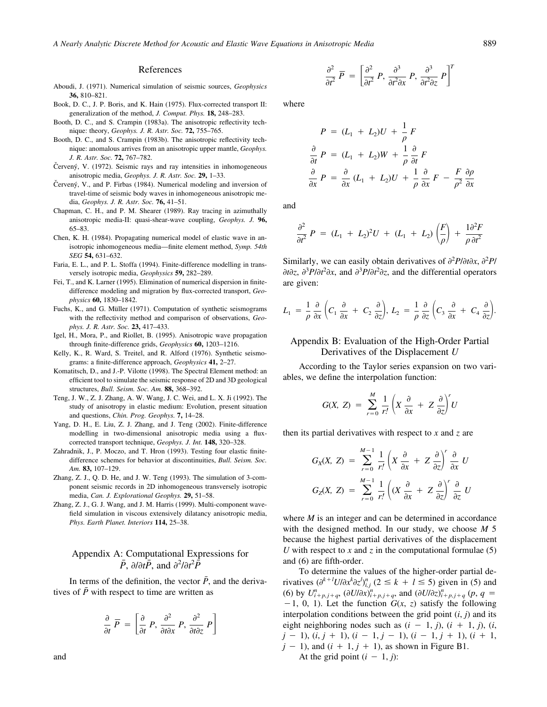#### References

- Aboudi, J. (1971). Numerical simulation of seismic sources, *Geophysics* **36,** 810–821.
- Book, D. C., J. P. Boris, and K. Hain (1975). Flux-corrected transport II: generalization of the method, *J. Comput. Phys.* **18,** 248–283.
- Booth, D. C., and S. Crampin (1983a). The anisotropic reflectivity technique: theory, *Geophys. J. R. Astr. Soc.* **72,** 755–765.
- Booth, D. C., and S. Crampin (1983b). The anisotropic reflectivity technique: anomalous arrives from an anisotropic upper mantle, *Geophys. J. R. Astr. Soc.* **72,** 767–782.
- Červený, V. (1972). Seismic rays and ray intensities in inhomogeneous anisotropic media, *Geophys. J. R. Astr. Soc.* **29,** 1–33.
- Červený, V., and P. Firbas (1984). Numerical modeling and inversion of travel-time of seismic body waves in inhomogeneous anisotropic media, *Geophys. J. R. Astr. Soc.* **76,** 41–51.
- Chapman, C. H., and P. M. Shearer (1989). Ray tracing in azimuthally anisotropic media-II: quasi-shear-wave coupling, *Geophys. J.* **96,** 65–83.
- Chen, K. H. (1984). Propagating numerical model of elastic wave in anisotropic inhomogeneous media—finite element method, *Symp. 54th SEG* **54,** 631–632.
- Faria, E. L., and P. L. Stoffa (1994). Finite-difference modelling in transversely isotropic media, *Geophysics* **59,** 282–289.
- Fei, T., and K. Larner (1995). Elimination of numerical dispersion in finitedifference modeling and migration by flux-corrected transport, *Geophysics* **60,** 1830–1842.
- Fuchs, K., and G. Müller (1971). Computation of synthetic seismograms with the reflectivity method and comparison of observations, *Geophys. J. R. Astr. Soc.* **23,** 417–433.
- Igel, H., Mora, P., and Riollet, B. (1995). Anisotropic wave propagation through finite-difference grids, *Geophysics* **60,** 1203–1216.
- Kelly, K., R. Ward, S. Treitel, and R. Alford (1976). Synthetic seismograms: a finite-difference approach, *Geophysics* **41,** 2–27.
- Komatitsch, D., and J.-P. Vilotte (1998). The Spectral Element method: an efficient tool to simulate the seismic response of 2D and 3D geological structures, *Bull. Seism. Soc. Am.* **88,** 368–392.
- Teng, J. W., Z. J. Zhang, A. W. Wang, J. C. Wei, and L. X. Ji (1992). The study of anisotropy in elastic medium: Evolution, present situation and questions, *Chin. Prog. Geophys.* **7,** 14–28.
- Yang, D. H., E. Liu, Z. J. Zhang, and J. Teng (2002). Finite-difference modelling in two-dimensional anisotropic media using a fluxcorrected transport technique, *Geophys. J. Int.* **148,** 320–328.
- Zahradnik, J., P. Moczo, and T. Hron (1993). Testing four elastic finitedifference schemes for behavior at discontinuities, *Bull. Seism. Soc. Am.* **83,** 107–129.
- Zhang, Z. J., Q. D. He, and J. W. Teng (1993). The simulation of 3-component seismic records in 2D inhomogeneous transversely isotropic media, *Can. J. Explorational Geophys.* **29,** 51–58.
- Zhang, Z. J., G. J. Wang, and J. M. Harris (1999). Multi-component wavefield simulation in viscous extensively dilatancy anisotropic media, *Phys. Earth Planet. Interiors* **114,** 25–38.

# Appendix A: Computational Expressions for  $\overline{P}$ *,*  $\partial/\partial t\overline{P}$ *, and*  $\partial^2/\partial t^2\overline{P}$

In terms of the definition, the vector  $\bar{P}$ , and the derivatives of  $\bar{P}$  with respect to time are written as

$$
\frac{\partial}{\partial t} \overline{P} = \left[ \frac{\partial}{\partial t} P, \frac{\partial^2}{\partial t \partial x} P, \frac{\partial^2}{\partial t \partial z} P \right]
$$

 $\frac{\partial^2}{\partial t^2} \overline{P} = \left[ \frac{\partial^2}{\partial t^2} P, \frac{\partial^3}{\partial t^2 \partial x} P, \frac{\partial^3}{\partial t^2 \partial z} P \right]^T$ 

where

$$
P = (L_1 + L_2)U + \frac{1}{\rho}F
$$
  
\n
$$
\frac{\partial}{\partial t}P = (L_1 + L_2)W + \frac{1}{\rho}\frac{\partial}{\partial t}F
$$
  
\n
$$
\frac{\partial}{\partial x}P = \frac{\partial}{\partial x}(L_1 + L_2)U + \frac{1}{\rho}\frac{\partial}{\partial x}F - \frac{F}{\rho^2}\frac{\partial \rho}{\partial x}
$$

and

$$
\frac{\partial^2}{\partial t^2} P = (L_1 + L_2)^2 U + (L_1 + L_2) \left(\frac{F}{\rho}\right) + \frac{1}{\rho} \frac{\partial^2 F}{\partial t^2}
$$

Similarly, we can easily obtain derivatives of  $\partial^2 P / \partial t \partial x$ ,  $\partial^2 P /$  $\partial t \partial z$ ,  $\partial^3 P/\partial t^2 \partial x$ , and  $\partial^3 P/\partial t^2 \partial z$ , and the differential operators are given:

$$
L_1 = \frac{1}{\rho} \frac{\partial}{\partial x} \left( C_1 \frac{\partial}{\partial x} + C_2 \frac{\partial}{\partial z} \right), \ L_2 = \frac{1}{\rho} \frac{\partial}{\partial z} \left( C_3 \frac{\partial}{\partial x} + C_4 \frac{\partial}{\partial z} \right).
$$

## Appendix B: Evaluation of the High-Order Partial Derivatives of the Displacement *U*

According to the Taylor series expansion on two variables, we define the interpolation function:

$$
G(X, Z) = \sum_{r=0}^{M} \frac{1}{r!} \left( X \frac{\partial}{\partial x} + Z \frac{\partial}{\partial z} \right)^r U
$$

then its partial derivatives with respect to *x* and *z* are

$$
G_X(X, Z) = \sum_{r=0}^{M-1} \frac{1}{r'} \left( X \frac{\partial}{\partial x} + Z \frac{\partial}{\partial z} \right)^r \frac{\partial}{\partial x} U
$$
  

$$
G_Z(X, Z) = \sum_{r=0}^{M-1} \frac{1}{r'} \left( (X \frac{\partial}{\partial x} + Z \frac{\partial}{\partial z})^r \frac{\partial}{\partial z} U \right)
$$

where *M* is an integer and can be determined in accordance with the designed method. In our study, we choose *M* 5 because the highest partial derivatives of the displacement *U* with respect to *x* and *z* in the computational formulae  $(5)$ and (6) are fifth-order.

To determine the values of the higher-order partial derivatives  $(\partial^{k+l} U/\partial x^k \partial z^l)_{i,j}^n$  (2  $\leq k + l \leq 5$ ) given in (5) and (6) by  $U_{i+p,j+q}^{n}$ ,  $(\partial U/\partial x)_{i+p,j+q}^{n}$ , and  $(\partial U/\partial z)_{i+p,j+q}^{n}$   $(p, q =$  $-1$ , 0, 1). Let the function  $G(x, z)$  satisfy the following interpolation conditions between the grid point  $(i, j)$  and its eight neighboring nodes such as  $(i - 1, j)$ ,  $(i + 1, j)$ ,  $(i, j)$  $j-1$ ,  $(i, j+1)$ ,  $(i-1, j-1)$ ,  $(i-1, j+1)$ ,  $(i+1, j+1)$  $j - 1$ ), and  $(i + 1, j + 1)$ , as shown in Figure B1. At the grid point  $(i - 1, j)$ :

and